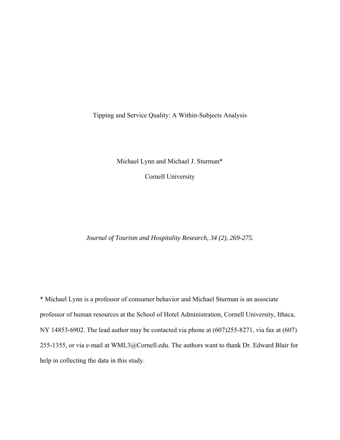Tipping and Service Quality: A Within-Subjects Analysis

Michael Lynn and Michael J. Sturman\*

Cornell University

*Journal of Tourism and Hospitality Research, 34 (2), 269-275.* 

\* Michael Lynn is a professor of consumer behavior and Michael Sturman is an associate professor of human resources at the School of Hotel Administration, Cornell University, Ithaca, NY 14853-6902. The lead author may be contacted via phone at (607)255-8271, via fax at (607) 255-1355, or via e-mail at WML3@Cornell.edu. The authors want to thank Dr. Edward Blair for help in collecting the data in this study.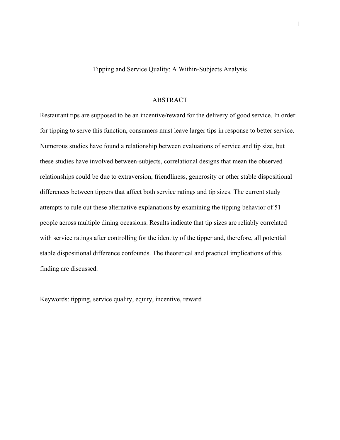Tipping and Service Quality: A Within-Subjects Analysis

#### ABSTRACT

Restaurant tips are supposed to be an incentive/reward for the delivery of good service. In order for tipping to serve this function, consumers must leave larger tips in response to better service. Numerous studies have found a relationship between evaluations of service and tip size, but these studies have involved between-subjects, correlational designs that mean the observed relationships could be due to extraversion, friendliness, generosity or other stable dispositional differences between tippers that affect both service ratings and tip sizes. The current study attempts to rule out these alternative explanations by examining the tipping behavior of 51 people across multiple dining occasions. Results indicate that tip sizes are reliably correlated with service ratings after controlling for the identity of the tipper and, therefore, all potential stable dispositional difference confounds. The theoretical and practical implications of this finding are discussed.

Keywords: tipping, service quality, equity, incentive, reward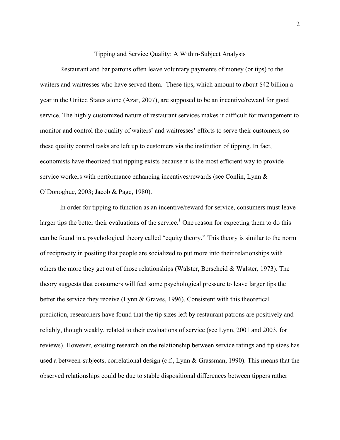Tipping and Service Quality: A Within-Subject Analysis

 Restaurant and bar patrons often leave voluntary payments of money (or tips) to the waiters and waitresses who have served them. These tips, which amount to about \$42 billion a year in the United States alone (Azar, 2007), are supposed to be an incentive/reward for good service. The highly customized nature of restaurant services makes it difficult for management to monitor and control the quality of waiters' and waitresses' efforts to serve their customers, so these quality control tasks are left up to customers via the institution of tipping. In fact, economists have theorized that tipping exists because it is the most efficient way to provide service workers with performance enhancing incentives/rewards (see Conlin, Lynn & O'Donoghue, 2003; Jacob & Page, 1980).

 In order for tipping to function as an incentive/reward for service, consumers must leave larger tips the better their evaluations of the service.<sup>1</sup> One reason for expecting them to do this can be found in a psychological theory called "equity theory." This theory is similar to the norm of reciprocity in positing that people are socialized to put more into their relationships with others the more they get out of those relationships (Walster, Berscheid & Walster, 1973). The theory suggests that consumers will feel some psychological pressure to leave larger tips the better the service they receive (Lynn & Graves, 1996). Consistent with this theoretical prediction, researchers have found that the tip sizes left by restaurant patrons are positively and reliably, though weakly, related to their evaluations of service (see Lynn, 2001 and 2003, for reviews). However, existing research on the relationship between service ratings and tip sizes has used a between-subjects, correlational design (c.f., Lynn & Grassman, 1990). This means that the observed relationships could be due to stable dispositional differences between tippers rather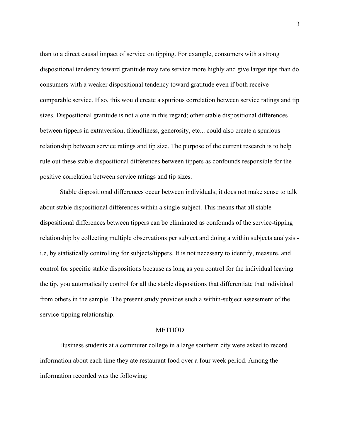than to a direct causal impact of service on tipping. For example, consumers with a strong dispositional tendency toward gratitude may rate service more highly and give larger tips than do consumers with a weaker dispositional tendency toward gratitude even if both receive comparable service. If so, this would create a spurious correlation between service ratings and tip sizes. Dispositional gratitude is not alone in this regard; other stable dispositional differences between tippers in extraversion, friendliness, generosity, etc... could also create a spurious relationship between service ratings and tip size. The purpose of the current research is to help rule out these stable dispositional differences between tippers as confounds responsible for the positive correlation between service ratings and tip sizes.

 Stable dispositional differences occur between individuals; it does not make sense to talk about stable dispositional differences within a single subject. This means that all stable dispositional differences between tippers can be eliminated as confounds of the service-tipping relationship by collecting multiple observations per subject and doing a within subjects analysis i.e, by statistically controlling for subjects/tippers. It is not necessary to identify, measure, and control for specific stable dispositions because as long as you control for the individual leaving the tip, you automatically control for all the stable dispositions that differentiate that individual from others in the sample. The present study provides such a within-subject assessment of the service-tipping relationship.

# METHOD

 Business students at a commuter college in a large southern city were asked to record information about each time they ate restaurant food over a four week period. Among the information recorded was the following: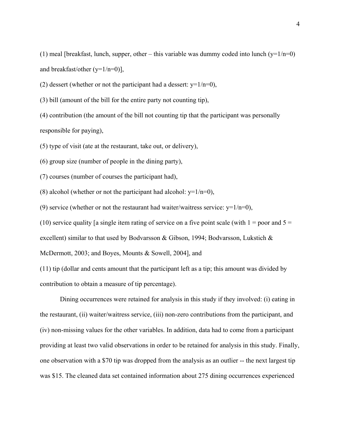(1) meal [breakfast, lunch, supper, other – this variable was dummy coded into lunch ( $y=1/n=0$ ) and breakfast/other  $(y=1/n=0)$ ],

(2) dessert (whether or not the participant had a dessert:  $y=1/n=0$ ),

(3) bill (amount of the bill for the entire party not counting tip),

(4) contribution (the amount of the bill not counting tip that the participant was personally responsible for paying),

(5) type of visit (ate at the restaurant, take out, or delivery),

(6) group size (number of people in the dining party),

(7) courses (number of courses the participant had),

(8) alcohol (whether or not the participant had alcohol:  $y=1/n=0$ ),

(9) service (whether or not the restaurant had waiter/waitress service:  $y=1/n=0$ ),

(10) service quality [a single item rating of service on a five point scale (with  $1 =$  poor and  $5 =$ 

excellent) similar to that used by Bodvarsson & Gibson, 1994; Bodvarsson, Lukstich &

McDermott, 2003; and Boyes, Mounts & Sowell, 2004], and

(11) tip (dollar and cents amount that the participant left as a tip; this amount was divided by contribution to obtain a measure of tip percentage).

 Dining occurrences were retained for analysis in this study if they involved: (i) eating in the restaurant, (ii) waiter/waitress service, (iii) non-zero contributions from the participant, and (iv) non-missing values for the other variables. In addition, data had to come from a participant providing at least two valid observations in order to be retained for analysis in this study. Finally, one observation with a \$70 tip was dropped from the analysis as an outlier -- the next largest tip was \$15. The cleaned data set contained information about 275 dining occurrences experienced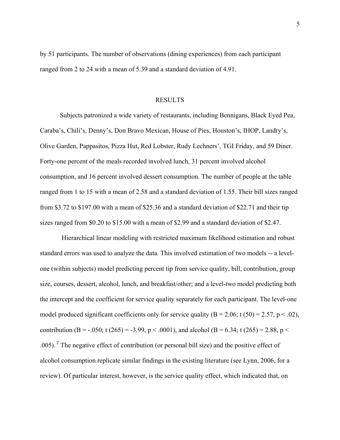by 51 participants. The number of observations (dining experiences) from each participant ranged from 2 to 24 with a mean of 5.39 and a standard deviation of 4.91.

#### RESULTS

 Subjects patronized a wide variety of restaurants, including Bennigans, Black Eyed Pea, Caraba's, Chili's, Denny's, Don Bravo Mexican, House of Pies, Houston's, IHOP, Landry's, Olive Garden, Pappasitos, Pizza Hut, Red Lobster, Rudy Lechners', TGI Friday, and 59 Diner. Forty-one percent of the meals recorded involved lunch, 31 percent involved alcohol consumption, and 16 percent involved dessert consumption. The number of people at the table ranged from 1 to 15 with a mean of 2.58 and a standard deviation of 1.55. Their bill sizes ranged from \$3.72 to \$197.00 with a mean of \$25.36 and a standard deviation of \$22.71 and their tip sizes ranged from \$0.20 to \$15.00 with a mean of \$2.99 and a standard deviation of \$2.47.

 Hierarchical linear modeling with restricted maximum likelihood estimation and robust standard errors was used to analyze the data. This involved estimation of two models -- a levelone (within subjects) model predicting percent tip from service quality, bill, contribution, group size, courses, dessert, alcohol, lunch, and breakfast/other; and a level-two model predicting both the intercept and the coefficient for service quality separately for each participant. The level-one model produced significant coefficients only for service quality  $(B = 2.06; t(50) = 2.57, p < .02)$ , contribution (B = -.050; t (265) = -3.99, p < .0001), and alcohol (B = 6.34; t (265) = 2.88, p < .005). 2 The negative effect of contribution (or personal bill size) and the positive effect of alcohol consumption replicate similar findings in the existing literature (see Lynn, 2006, for a review). Of particular interest, however, is the service quality effect, which indicated that, on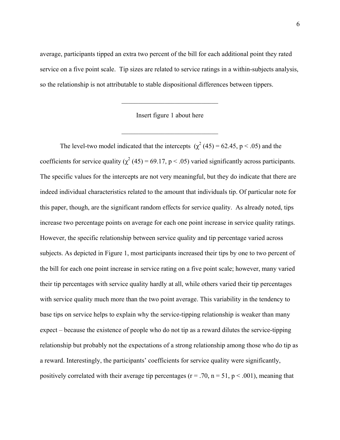average, participants tipped an extra two percent of the bill for each additional point they rated service on a five point scale. Tip sizes are related to service ratings in a within-subjects analysis, so the relationship is not attributable to stable dispositional differences between tippers.

Insert figure 1 about here

 $\mathcal{L}_\text{max}$  , where  $\mathcal{L}_\text{max}$  and  $\mathcal{L}_\text{max}$  and  $\mathcal{L}_\text{max}$ 

 $\mathcal{L}_\text{max}$  , where  $\mathcal{L}_\text{max}$  and  $\mathcal{L}_\text{max}$  and  $\mathcal{L}_\text{max}$ 

The level-two model indicated that the intercepts  $(\chi^2 (45) = 62.45, p < .05)$  and the coefficients for service quality ( $\chi^2$  (45) = 69.17, p < .05) varied significantly across participants. The specific values for the intercepts are not very meaningful, but they do indicate that there are indeed individual characteristics related to the amount that individuals tip. Of particular note for this paper, though, are the significant random effects for service quality. As already noted, tips increase two percentage points on average for each one point increase in service quality ratings. However, the specific relationship between service quality and tip percentage varied across subjects. As depicted in Figure 1, most participants increased their tips by one to two percent of the bill for each one point increase in service rating on a five point scale; however, many varied their tip percentages with service quality hardly at all, while others varied their tip percentages with service quality much more than the two point average. This variability in the tendency to base tips on service helps to explain why the service-tipping relationship is weaker than many expect – because the existence of people who do not tip as a reward dilutes the service-tipping relationship but probably not the expectations of a strong relationship among those who do tip as a reward. Interestingly, the participants' coefficients for service quality were significantly, positively correlated with their average tip percentages ( $r = .70$ ,  $n = 51$ ,  $p < .001$ ), meaning that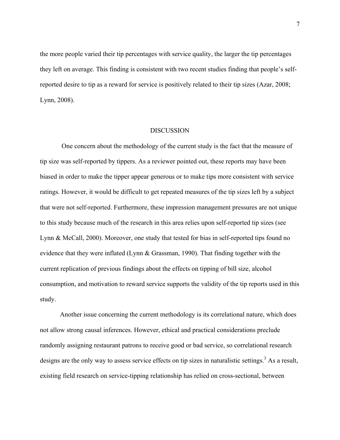the more people varied their tip percentages with service quality, the larger the tip percentages they left on average. This finding is consistent with two recent studies finding that people's selfreported desire to tip as a reward for service is positively related to their tip sizes (Azar, 2008; Lynn, 2008).

## DISCUSSION

 One concern about the methodology of the current study is the fact that the measure of tip size was self-reported by tippers. As a reviewer pointed out, these reports may have been biased in order to make the tipper appear generous or to make tips more consistent with service ratings. However, it would be difficult to get repeated measures of the tip sizes left by a subject that were not self-reported. Furthermore, these impression management pressures are not unique to this study because much of the research in this area relies upon self-reported tip sizes (see Lynn & McCall, 2000). Moreover, one study that tested for bias in self-reported tips found no evidence that they were inflated (Lynn & Grassman, 1990). That finding together with the current replication of previous findings about the effects on tipping of bill size, alcohol consumption, and motivation to reward service supports the validity of the tip reports used in this study.

 Another issue concerning the current methodology is its correlational nature, which does not allow strong causal inferences. However, ethical and practical considerations preclude randomly assigning restaurant patrons to receive good or bad service, so correlational research designs are the only way to assess service effects on tip sizes in naturalistic settings.<sup>3</sup> As a result, existing field research on service-tipping relationship has relied on cross-sectional, between

7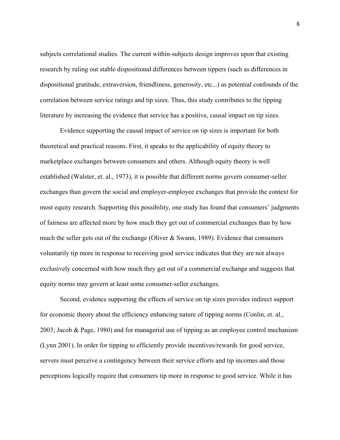subjects correlational studies. The current within-subjects design improves upon that existing research by ruling out stable dispositional differences between tippers (such as differences in dispositional gratitude, extraversion, friendliness, generosity, etc...) as potential confounds of the correlation between service ratings and tip sizes. Thus, this study contributes to the tipping literature by increasing the evidence that service has a positive, causal impact on tip sizes.

 Evidence supporting the causal impact of service on tip sizes is important for both theoretical and practical reasons. First, it speaks to the applicability of equity theory to marketplace exchanges between consumers and others. Although equity theory is well established (Walster, et. al., 1973), it is possible that different norms govern consumer-seller exchanges than govern the social and employer-employee exchanges that provide the context for most equity research. Supporting this possibility, one study has found that consumers' judgments of fairness are affected more by how much they get out of commercial exchanges than by how much the seller gets out of the exchange (Oliver & Swann, 1989). Evidence that consumers voluntarily tip more in response to receiving good service indicates that they are not always exclusively concerned with how much they get out of a commercial exchange and suggests that equity norms may govern at least some consumer-seller exchanges.

 Second, evidence supporting the effects of service on tip sizes provides indirect support for economic theory about the efficiency enhancing nature of tipping norms (Conlin, et. al., 2003; Jacob & Page, 1980) and for managerial use of tipping as an employee control mechanism (Lynn 2001). In order for tipping to efficiently provide incentives/rewards for good service, servers must perceive a contingency between their service efforts and tip incomes and those perceptions logically require that consumers tip more in response to good service. While it has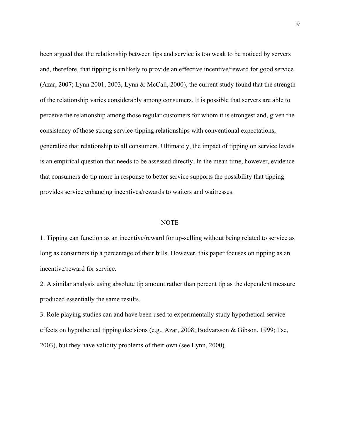been argued that the relationship between tips and service is too weak to be noticed by servers and, therefore, that tipping is unlikely to provide an effective incentive/reward for good service (Azar, 2007; Lynn 2001, 2003, Lynn & McCall, 2000), the current study found that the strength of the relationship varies considerably among consumers. It is possible that servers are able to perceive the relationship among those regular customers for whom it is strongest and, given the consistency of those strong service-tipping relationships with conventional expectations, generalize that relationship to all consumers. Ultimately, the impact of tipping on service levels is an empirical question that needs to be assessed directly. In the mean time, however, evidence that consumers do tip more in response to better service supports the possibility that tipping provides service enhancing incentives/rewards to waiters and waitresses.

## NOTE

1. Tipping can function as an incentive/reward for up-selling without being related to service as long as consumers tip a percentage of their bills. However, this paper focuses on tipping as an incentive/reward for service.

2. A similar analysis using absolute tip amount rather than percent tip as the dependent measure produced essentially the same results.

3. Role playing studies can and have been used to experimentally study hypothetical service effects on hypothetical tipping decisions (e.g., Azar, 2008; Bodvarsson & Gibson, 1999; Tse, 2003), but they have validity problems of their own (see Lynn, 2000).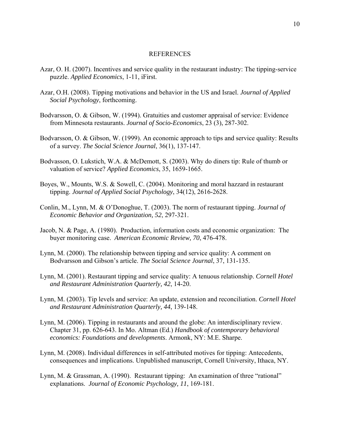### REFERENCES

- Azar, O. H. (2007). Incentives and service quality in the restaurant industry: The tipping-service puzzle. *Applied Economics*, 1-11, iFirst.
- Azar, O.H. (2008). Tipping motivations and behavior in the US and Israel. *Journal of Applied Social Psychology*, forthcoming.
- Bodvarsson, O. & Gibson, W. (1994). Gratuities and customer appraisal of service: Evidence from Minnesota restaurants. *Journal of Socio-Economics*, 23 (3), 287-302.
- Bodvarsson, O. & Gibson, W. (1999). An economic approach to tips and service quality: Results of a survey. *The Social Science Journal*, 36(1), 137-147.
- Bodvasson, O. Lukstich, W.A. & McDemott, S. (2003). Why do diners tip: Rule of thumb or valuation of service? *Applied Economics*, 35, 1659-1665.
- Boyes, W., Mounts, W.S. & Sowell, C. (2004). Monitoring and moral hazzard in restaurant tipping. *Journal of Applied Social Psychology*, 34(12), 2616-2628.
- Conlin, M., Lynn, M. & O'Donoghue, T. (2003). The norm of restaurant tipping. *Journal of Economic Behavior and Organization, 52*, 297-321.
- Jacob, N. & Page, A. (1980). Production, information costs and economic organization: The buyer monitoring case. *American Economic Review, 70*, 476-478.
- Lynn, M. (2000). The relationship between tipping and service quality: A comment on Bodvarsson and Gibson's article. *The Social Science Journal*, 37, 131-135.
- Lynn, M. (2001). Restaurant tipping and service quality: A tenuous relationship. *Cornell Hotel and Restaurant Administration Quarterly, 42*, 14-20.
- Lynn, M. (2003). Tip levels and service: An update, extension and reconciliation. *Cornell Hotel and Restaurant Administration Quarterly, 44*, 139-148.
- Lynn, M. (2006). Tipping in restaurants and around the globe: An interdisciplinary review. Chapter 31, pp. 626-643. In Mo. Altman (Ed.) *Handbook of contemporary behavioral economics: Foundations and developments*. Armonk, NY: M.E. Sharpe.
- Lynn, M. (2008). Individual differences in self-attributed motives for tipping: Antecedents, consequences and implications. Unpublished manuscript, Cornell University, Ithaca, NY.
- Lynn, M. & Grassman, A. (1990). Restaurant tipping: An examination of three "rational" explanations. *Journal of Economic Psychology, 11*, 169-181.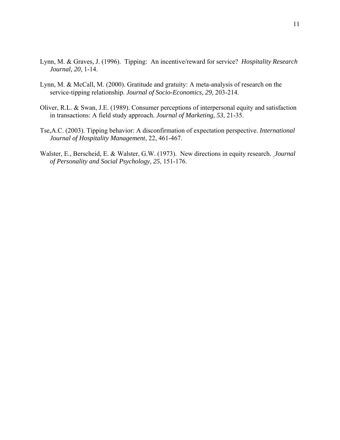- Lynn, M. & Graves, J. (1996). Tipping: An incentive/reward for service? *Hospitality Research Journal, 20,* 1-14.
- Lynn, M. & McCall, M. (2000). Gratitude and gratuity: A meta-analysis of research on the service-tipping relationship. *Journal of Socio-Economics, 29*, 203-214.
- Oliver, R.L. & Swan, J.E. (1989). Consumer perceptions of interpersonal equity and satisfaction in transactions: A field study approach. *Journal of Marketing, 53*, 21-35.
- Tse,A.C. (2003). Tipping behavior: A disconfirmation of expectation perspective. *International Journal of Hospitality Management*, 22, 461-467.
- Walster, E., Berscheid, E. & Walster, G.W. (1973). New directions in equity research. *Journal of Personality and Social Psychology, 25*, 151-176.